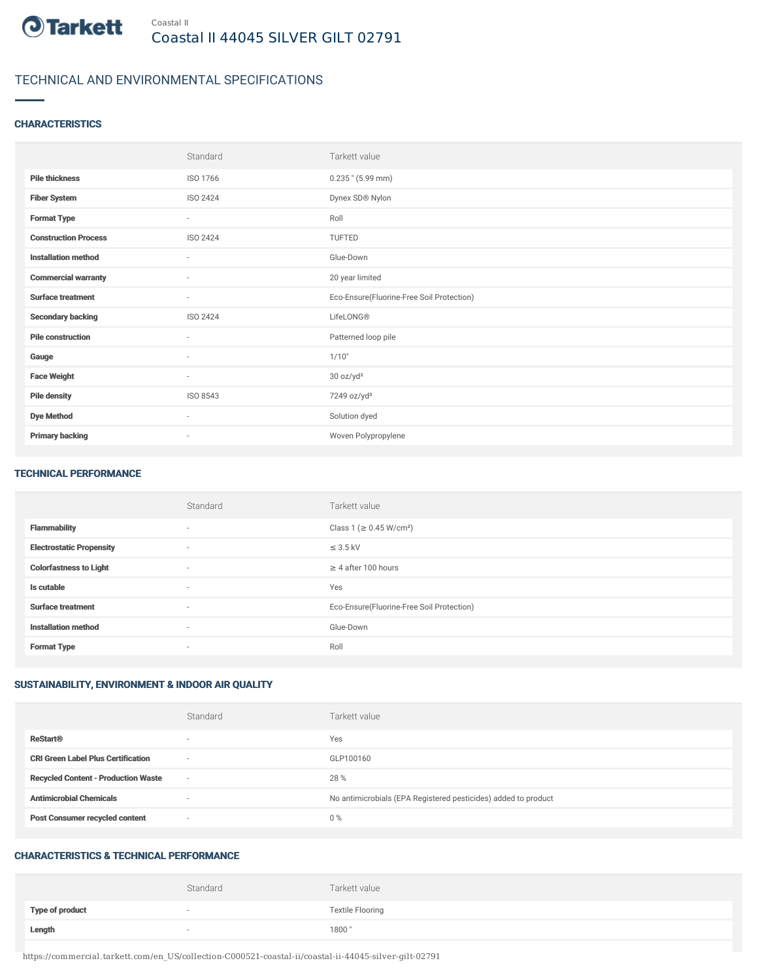

## TECHNICAL AND ENVIRONMENTAL SPECIFICATIONS

### **CHARACTERISTICS**

|                             | Standard                 | Tarkett value                             |
|-----------------------------|--------------------------|-------------------------------------------|
| <b>Pile thickness</b>       | ISO 1766                 | $0.235$ " (5.99 mm)                       |
| <b>Fiber System</b>         | ISO 2424                 | Dynex SD® Nylon                           |
| <b>Format Type</b>          | $\sim$                   | Roll                                      |
| <b>Construction Process</b> | ISO 2424                 | <b>TUFTED</b>                             |
| <b>Installation method</b>  | $\sim$                   | Glue-Down                                 |
| <b>Commercial warranty</b>  | $\sim$                   | 20 year limited                           |
| <b>Surface treatment</b>    | $\sim$                   | Eco-Ensure(Fluorine-Free Soil Protection) |
| <b>Secondary backing</b>    | ISO 2424                 | LifeLONG®                                 |
| <b>Pile construction</b>    | ٠                        | Patterned loop pile                       |
| Gauge                       | $\sim$                   | 1/10"                                     |
| <b>Face Weight</b>          | $\sim$                   | 30 oz/yd <sup>2</sup>                     |
| <b>Pile density</b>         | ISO 8543                 | 7249 oz/yd <sup>3</sup>                   |
| <b>Dye Method</b>           | $\sim$                   | Solution dyed                             |
| <b>Primary backing</b>      | $\overline{\phantom{a}}$ | Woven Polypropylene                       |

#### TECHNICAL PERFORMANCE

|                                 | Standard | Tarkett value                             |
|---------------------------------|----------|-------------------------------------------|
| <b>Flammability</b>             | $\sim$   | Class 1 (≥ 0.45 W/cm <sup>2</sup> )       |
| <b>Electrostatic Propensity</b> | $\sim$   | $\leq$ 3.5 kV                             |
| <b>Colorfastness to Light</b>   | $\sim$   | $\geq$ 4 after 100 hours                  |
| Is cutable                      | $\sim$   | Yes                                       |
| <b>Surface treatment</b>        | $\sim$   | Eco-Ensure(Fluorine-Free Soil Protection) |
| <b>Installation method</b>      | $\sim$   | Glue-Down                                 |
| <b>Format Type</b>              | $\sim$   | Roll                                      |

### SUSTAINABILITY, ENVIRONMENT & INDOOR AIR QUALITY

|                                            | Standard                 | Tarkett value                                                  |
|--------------------------------------------|--------------------------|----------------------------------------------------------------|
| <b>ReStart®</b>                            | $\overline{\phantom{a}}$ | Yes                                                            |
| <b>CRI Green Label Plus Certification</b>  | $\overline{\phantom{a}}$ | GLP100160                                                      |
| <b>Recycled Content - Production Waste</b> | $\overline{\phantom{a}}$ | 28 %                                                           |
| <b>Antimicrobial Chemicals</b>             | <b>1999</b>              | No antimicrobials (EPA Registered pesticides) added to product |
| <b>Post Consumer recycled content</b>      | $\overline{\phantom{a}}$ | $0\%$                                                          |

#### CHARACTERISTICS & TECHNICAL PERFORMANCE

|                        | Standard                 | Tarkett value           |
|------------------------|--------------------------|-------------------------|
| <b>Type of product</b> | $\overline{\phantom{a}}$ | <b>Textile Flooring</b> |
| Length                 |                          | 1800"                   |

https://commercial.tarkett.com/en\_US/collection-C000521-coastal-ii/coastal-ii-44045-silver-gilt-02791